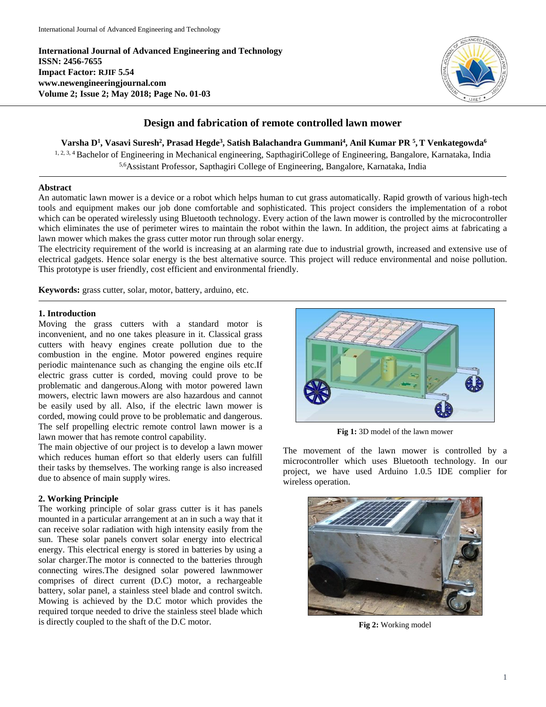**International Journal of Advanced Engineering and Technology ISSN: 2456-7655 Impact Factor: RJIF 5.54 www.newengineeringjournal.com Volume 2; Issue 2; May 2018; Page No. 01-03**



# **Design and fabrication of remote controlled lawn mower**

**Varsha D<sup>1</sup> , Vasavi Suresh<sup>2</sup> , Prasad Hegde<sup>3</sup> , Satish Balachandra Gummani<sup>4</sup> , Anil Kumar PR <sup>5</sup> ,T Venkategowda<sup>6</sup>**

1, 2, 3, 4 Bachelor of Engineering in Mechanical engineering, SapthagiriCollege of Engineering, Bangalore, Karnataka, India 5,6Assistant Professor, Sapthagiri College of Engineering, Bangalore, Karnataka, India

## **Abstract**

An automatic lawn mower is a device or a robot which helps human to cut grass automatically. Rapid growth of various high-tech tools and equipment makes our job done comfortable and sophisticated. This project considers the implementation of a robot which can be operated wirelessly using Bluetooth technology. Every action of the lawn mower is controlled by the microcontroller which eliminates the use of perimeter wires to maintain the robot within the lawn. In addition, the project aims at fabricating a lawn mower which makes the grass cutter motor run through solar energy.

The electricity requirement of the world is increasing at an alarming rate due to industrial growth, increased and extensive use of electrical gadgets. Hence solar energy is the best alternative source. This project will reduce environmental and noise pollution. This prototype is user friendly, cost efficient and environmental friendly.

**Keywords:** grass cutter, solar, motor, battery, arduino, etc.

## **1. Introduction**

Moving the grass cutters with a standard motor is inconvenient, and no one takes pleasure in it. Classical grass cutters with heavy engines create pollution due to the combustion in the engine. Motor powered engines require periodic maintenance such as changing the engine oils etc.If electric grass cutter is corded, moving could prove to be problematic and dangerous.Along with motor powered lawn mowers, electric lawn mowers are also hazardous and cannot be easily used by all. Also, if the electric lawn mower is corded, mowing could prove to be problematic and dangerous. The self propelling electric remote control lawn mower is a lawn mower that has remote control capability.

The main objective of our project is to develop a lawn mower which reduces human effort so that elderly users can fulfill their tasks by themselves. The working range is also increased due to absence of main supply wires.

# **2. Working Principle**

The working principle of solar grass cutter is it has panels mounted in a particular arrangement at an in such a way that it can receive solar radiation with high intensity easily from the sun. These solar panels convert solar energy into electrical energy. This electrical energy is stored in batteries by using a solar charger.The motor is connected to the batteries through connecting wires.The designed solar powered lawnmower comprises of direct current (D.C) motor, a rechargeable battery, solar panel, a stainless steel blade and control switch. Mowing is achieved by the D.C motor which provides the required torque needed to drive the stainless steel blade which is directly coupled to the shaft of the D.C motor.



**Fig 1:** 3D model of the lawn mower

The movement of the lawn mower is controlled by a microcontroller which uses Bluetooth technology. In our project, we have used Arduino 1.0.5 IDE complier for wireless operation.



**Fig 2:** Working model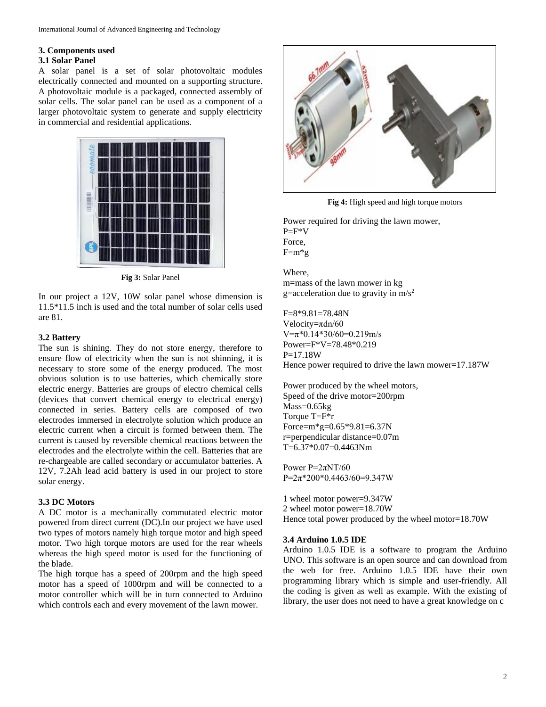# **3. Components used**

# **3.1 Solar Panel**

A solar panel is a set of solar photovoltaic modules electrically connected and mounted on a supporting structure. A photovoltaic module is a packaged, connected assembly of solar cells. The solar panel can be used as a component of a larger photovoltaic system to generate and supply electricity in commercial and residential applications.



**Fig 3:** Solar Panel

In our project a 12V, 10W solar panel whose dimension is 11.5\*11.5 inch is used and the total number of solar cells used are 81.

## **3.2 Battery**

The sun is shining. They do not store energy, therefore to ensure flow of electricity when the sun is not shinning, it is necessary to store some of the energy produced. The most obvious solution is to use batteries, which chemically store electric energy. Batteries are groups of electro chemical cells (devices that convert chemical energy to electrical energy) connected in series. Battery cells are composed of two electrodes immersed in electrolyte solution which produce an electric current when a circuit is formed between them. The current is caused by reversible chemical reactions between the electrodes and the electrolyte within the cell. Batteries that are re-chargeable are called secondary or accumulator batteries. A 12V, 7.2Ah lead acid battery is used in our project to store solar energy.

# **3.3 DC Motors**

A DC motor is a mechanically commutated electric motor powered from direct current (DC).In our project we have used two types of motors namely high torque motor and high speed motor. Two high torque motors are used for the rear wheels whereas the high speed motor is used for the functioning of the blade.

The high torque has a speed of 200rpm and the high speed motor has a speed of 1000rpm and will be connected to a motor controller which will be in turn connected to Arduino which controls each and every movement of the lawn mower.



**Fig 4:** High speed and high torque motors

Power required for driving the lawn mower,  $P=$ F\*V Force,  $F=m*g$ 

Where, m=mass of the lawn mower in kg g=acceleration due to gravity in  $m/s^2$ 

F=8\*9.81=78.48N Velocity=πdn/60 V=π\*0.14\*30/60=0.219m/s Power=F\*V=78.48\*0.219 P=17.18W Hence power required to drive the lawn mower=17.187W

Power produced by the wheel motors, Speed of the drive motor=200rpm Mass=0.65kg Torque T=F\*r Force=m\*g=0.65\*9.81=6.37N r=perpendicular distance=0.07m T=6.37\*0.07=0.4463Nm

Power P=2πNT/60 P=2π\*200\*0.4463/60=9.347W

1 wheel motor power=9.347W 2 wheel motor power=18.70W Hence total power produced by the wheel motor=18.70W

#### **3.4 Arduino 1.0.5 IDE**

Arduino 1.0.5 IDE is a software to program the Arduino UNO. This software is an open source and can download from the web for free. Arduino 1.0.5 IDE have their own programming library which is simple and user-friendly. All the coding is given as well as example. With the existing of library, the user does not need to have a great knowledge on c